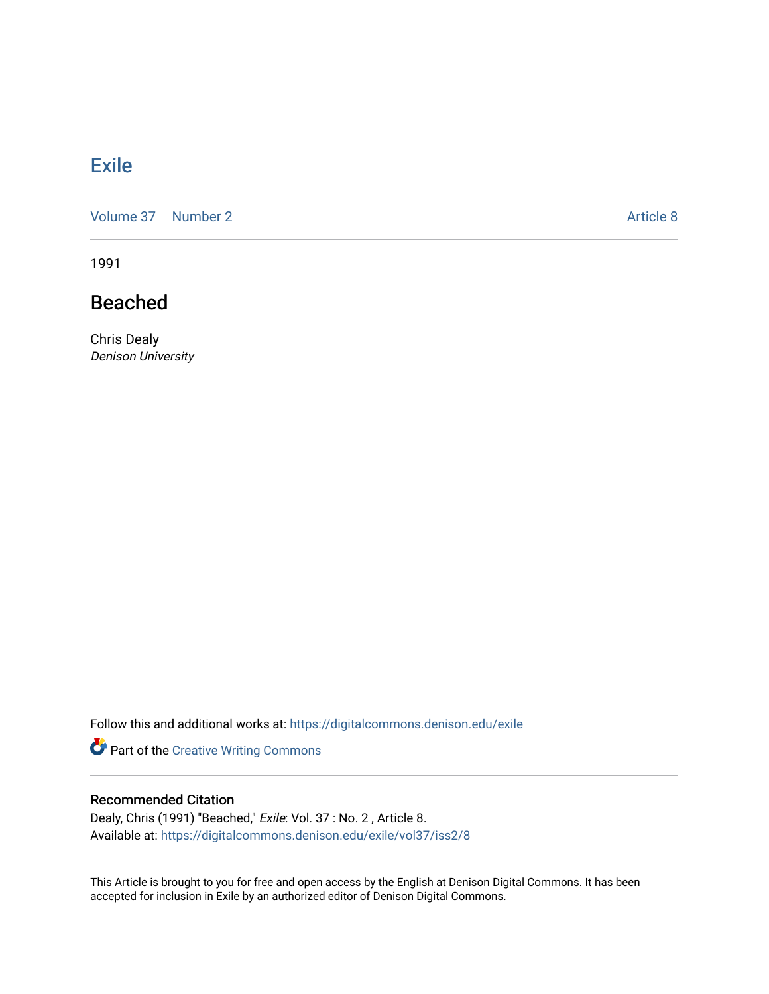## **[Exile](https://digitalcommons.denison.edu/exile)**

[Volume 37](https://digitalcommons.denison.edu/exile/vol37) | [Number 2](https://digitalcommons.denison.edu/exile/vol37/iss2) Article 8

1991

## Beached

Chris Dealy Denison University

Follow this and additional works at: [https://digitalcommons.denison.edu/exile](https://digitalcommons.denison.edu/exile?utm_source=digitalcommons.denison.edu%2Fexile%2Fvol37%2Fiss2%2F8&utm_medium=PDF&utm_campaign=PDFCoverPages) 

Part of the [Creative Writing Commons](http://network.bepress.com/hgg/discipline/574?utm_source=digitalcommons.denison.edu%2Fexile%2Fvol37%2Fiss2%2F8&utm_medium=PDF&utm_campaign=PDFCoverPages) 

## Recommended Citation

Dealy, Chris (1991) "Beached," Exile: Vol. 37 : No. 2, Article 8. Available at: [https://digitalcommons.denison.edu/exile/vol37/iss2/8](https://digitalcommons.denison.edu/exile/vol37/iss2/8?utm_source=digitalcommons.denison.edu%2Fexile%2Fvol37%2Fiss2%2F8&utm_medium=PDF&utm_campaign=PDFCoverPages) 

This Article is brought to you for free and open access by the English at Denison Digital Commons. It has been accepted for inclusion in Exile by an authorized editor of Denison Digital Commons.